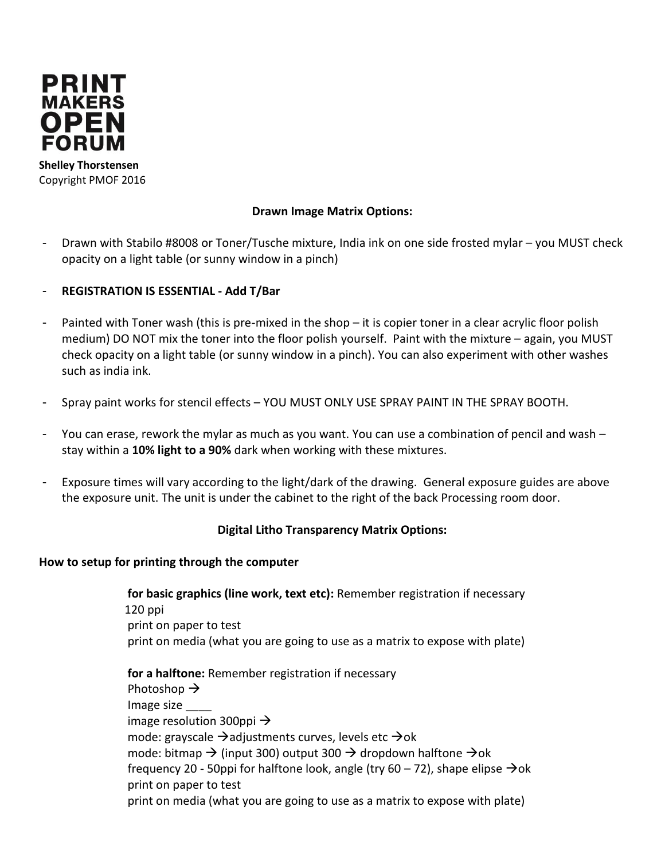

**Shelley Thorstensen**  Copyright PMOF 2016

## **Drawn Image Matrix Options:**

- Drawn with Stabilo #8008 or Toner/Tusche mixture, India ink on one side frosted mylar you MUST check opacity on a light table (or sunny window in a pinch)
- **REGISTRATION IS ESSENTIAL - Add T/Bar**
- Painted with Toner wash (this is pre-mixed in the shop it is copier toner in a clear acrylic floor polish medium) DO NOT mix the toner into the floor polish yourself. Paint with the mixture – again, you MUST check opacity on a light table (or sunny window in a pinch). You can also experiment with other washes such as india ink.
- Spray paint works for stencil effects YOU MUST ONLY USE SPRAY PAINT IN THE SPRAY BOOTH.
- You can erase, rework the mylar as much as you want. You can use a combination of pencil and wash stay within a **10% light to a 90%** dark when working with these mixtures.
- Exposure times will vary according to the light/dark of the drawing. General exposure guides are above the exposure unit. The unit is under the cabinet to the right of the back Processing room door.

## **Digital Litho Transparency Matrix Options:**

## **How to setup for printing through the computer**

 **for basic graphics (line work, text etc):** Remember registration if necessary 120 ppi print on paper to test print on media (what you are going to use as a matrix to expose with plate)

 **for a halftone:** Remember registration if necessary Photoshop  $\rightarrow$ Image size image resolution 300ppi  $\rightarrow$ mode: grayscale  $\rightarrow$  adjustments curves, levels etc  $\rightarrow$  ok mode: bitmap  $\rightarrow$  (input 300) output 300  $\rightarrow$  dropdown halftone  $\rightarrow$ ok frequency 20 - 50ppi for halftone look, angle (try 60 – 72), shape elipse  $\rightarrow$ ok print on paper to test print on media (what you are going to use as a matrix to expose with plate)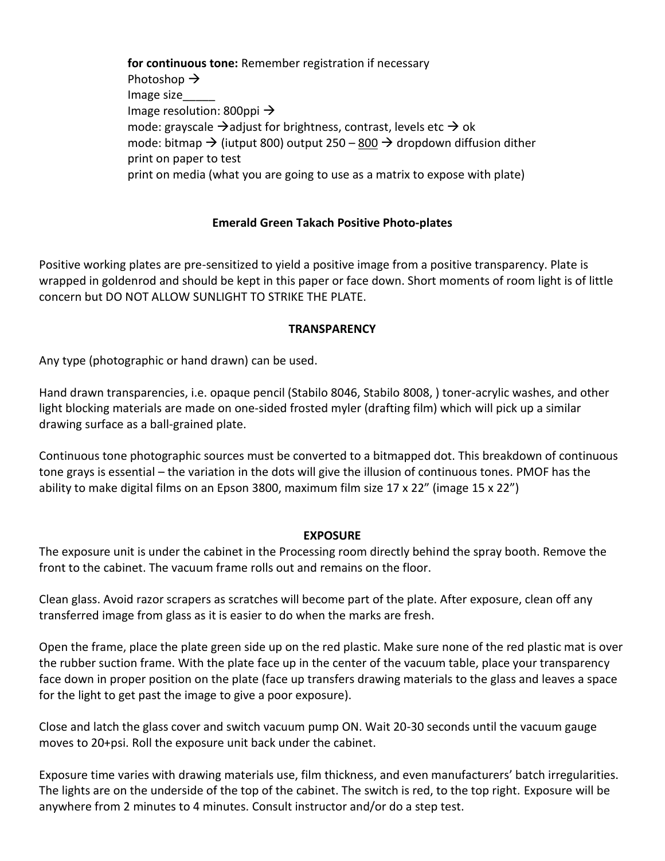**for continuous tone:** Remember registration if necessary Photoshop  $\rightarrow$  Image size\_\_\_\_\_ Image resolution: 800ppi  $\rightarrow$ mode: grayscale  $\rightarrow$  adjust for brightness, contrast, levels etc  $\rightarrow$  ok mode: bitmap  $\rightarrow$  (iutput 800) output 250 – 800  $\rightarrow$  dropdown diffusion dither print on paper to test print on media (what you are going to use as a matrix to expose with plate)

# **Emerald Green Takach Positive Photo-plates**

Positive working plates are pre-sensitized to yield a positive image from a positive transparency. Plate is wrapped in goldenrod and should be kept in this paper or face down. Short moments of room light is of little concern but DO NOT ALLOW SUNLIGHT TO STRIKE THE PLATE.

#### **TRANSPARENCY**

Any type (photographic or hand drawn) can be used.

Hand drawn transparencies, i.e. opaque pencil (Stabilo 8046, Stabilo 8008, ) toner-acrylic washes, and other light blocking materials are made on one-sided frosted myler (drafting film) which will pick up a similar drawing surface as a ball-grained plate.

Continuous tone photographic sources must be converted to a bitmapped dot. This breakdown of continuous tone grays is essential – the variation in the dots will give the illusion of continuous tones. PMOF has the ability to make digital films on an Epson 3800, maximum film size 17 x 22" (image 15 x 22")

## **EXPOSURE**

The exposure unit is under the cabinet in the Processing room directly behind the spray booth. Remove the front to the cabinet. The vacuum frame rolls out and remains on the floor.

Clean glass. Avoid razor scrapers as scratches will become part of the plate. After exposure, clean off any transferred image from glass as it is easier to do when the marks are fresh.

Open the frame, place the plate green side up on the red plastic. Make sure none of the red plastic mat is over the rubber suction frame. With the plate face up in the center of the vacuum table, place your transparency face down in proper position on the plate (face up transfers drawing materials to the glass and leaves a space for the light to get past the image to give a poor exposure).

Close and latch the glass cover and switch vacuum pump ON. Wait 20-30 seconds until the vacuum gauge moves to 20+psi. Roll the exposure unit back under the cabinet.

Exposure time varies with drawing materials use, film thickness, and even manufacturers' batch irregularities. The lights are on the underside of the top of the cabinet. The switch is red, to the top right. Exposure will be anywhere from 2 minutes to 4 minutes. Consult instructor and/or do a step test.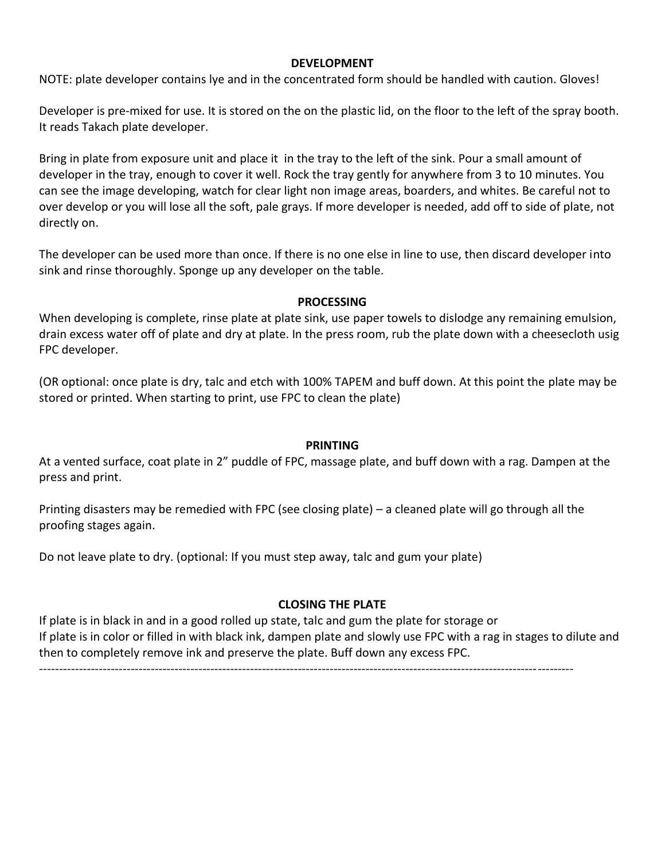#### **DEVELOPMENT**

NOTE: plate developer contains lye and in the concentrated form should be handled with caution. Gloves!

Developer is pre-mixed for use. It is stored on the on the plastic lid, on the floor to the left of the spray booth. It reads Takach plate developer.

Bring in plate from exposure unit and place it in the tray to the left of the sink. Pour a small amount of developer in the tray, enough to cover it well. Rock the tray gently for anywhere from 3 to 10 minutes. You can see the image developing, watch for clear light non image areas, boarders, and whites. Be careful not to over develop or you will lose all the soft, pale grays. If more developer is needed, add off to side of plate, not directly on.

The developer can be used more than once. If there is no one else in line to use, then discard developer into sink and rinse thoroughly. Sponge up any developer on the table.

#### **PROCESSING**

When developing is complete, rinse plate at plate sink, use paper towels to dislodge any remaining emulsion, drain excess water off of plate and dry at plate. In the press room, rub the plate down with a cheesecloth usig FPC developer.

(OR optional: once plate is dry, talc and etch with 100% TAPEM and buff down. At this point the plate may be stored or printed. When starting to print, use FPC to clean the plate)

## **PRINTING**

At a vented surface, coat plate in 2" puddle of FPC, massage plate, and buff down with a rag. Dampen at the press and print.

Printing disasters may be remedied with FPC (see closing plate) – a cleaned plate will go through all the proofing stages again.

Do not leave plate to dry. (optional: If you must step away, talc and gum your plate)

# **CLOSING THE PLATE**

If plate is in black in and in a good rolled up state, talc and gum the plate for storage or If plate is in color or filled in with black ink, dampen plate and slowly use FPC with a rag in stages to dilute and then to completely remove ink and preserve the plate. Buff down any excess FPC.

--------------------------------------------------------------------------------------------------------------------------------------